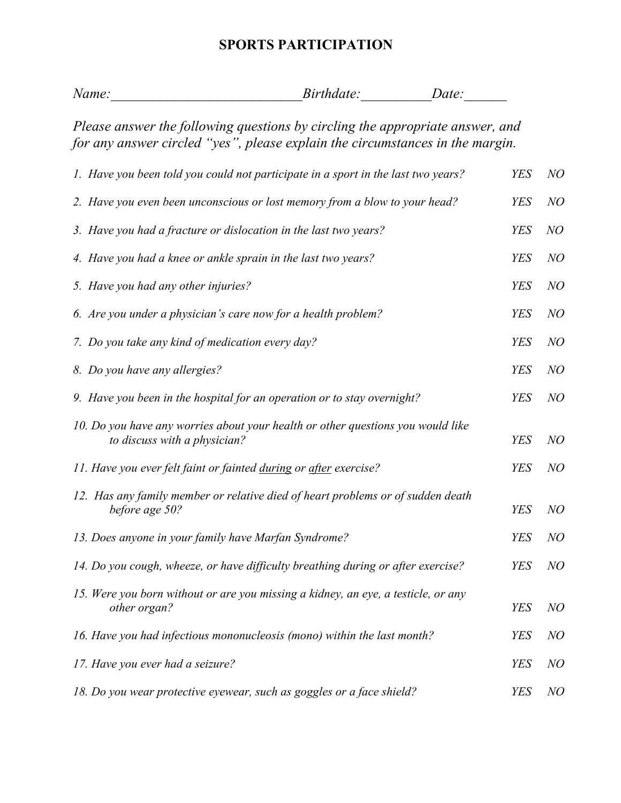## **SPORTS PARTICIPATION**

| Name: | <i>Birthdate:</i> | Date: |
|-------|-------------------|-------|
|       |                   |       |

*Please answer the following questions by circling the appropriate answer, and for any answer circled "yes", please explain the circumstances in the margin.* 

| 1. Have you been told you could not participate in a sport in the last two years?                               | <b>YES</b> | NO |
|-----------------------------------------------------------------------------------------------------------------|------------|----|
| 2. Have you even been unconscious or lost memory from a blow to your head?                                      | <b>YES</b> | NO |
| 3. Have you had a fracture or dislocation in the last two years?                                                | <b>YES</b> | NO |
| 4. Have you had a knee or ankle sprain in the last two years?                                                   | <b>YES</b> | NO |
| 5. Have you had any other injuries?                                                                             | <b>YES</b> | NO |
| 6. Are you under a physician's care now for a health problem?                                                   | <b>YES</b> | NO |
| 7. Do you take any kind of medication every day?                                                                | <b>YES</b> | NO |
| 8. Do you have any allergies?                                                                                   | <b>YES</b> | NO |
| 9. Have you been in the hospital for an operation or to stay overnight?                                         | <b>YES</b> | NO |
| 10. Do you have any worries about your health or other questions you would like<br>to discuss with a physician? | <b>YES</b> | NO |
| 11. Have you ever felt faint or fainted during or after exercise?                                               | <b>YES</b> | NO |
| 12. Has any family member or relative died of heart problems or of sudden death<br>before age 50?               | <b>YES</b> | NO |
| 13. Does anyone in your family have Marfan Syndrome?                                                            | <b>YES</b> | NO |
| 14. Do you cough, wheeze, or have difficulty breathing during or after exercise?                                | <b>YES</b> | NO |
| 15. Were you born without or are you missing a kidney, an eye, a testicle, or any<br>other organ?               | <b>YES</b> | NO |
| 16. Have you had infectious mononucleosis (mono) within the last month?                                         | <b>YES</b> | NO |
| 17. Have you ever had a seizure?                                                                                | <b>YES</b> | NO |
| 18. Do you wear protective eyewear, such as goggles or a face shield?                                           | <b>YES</b> | NO |